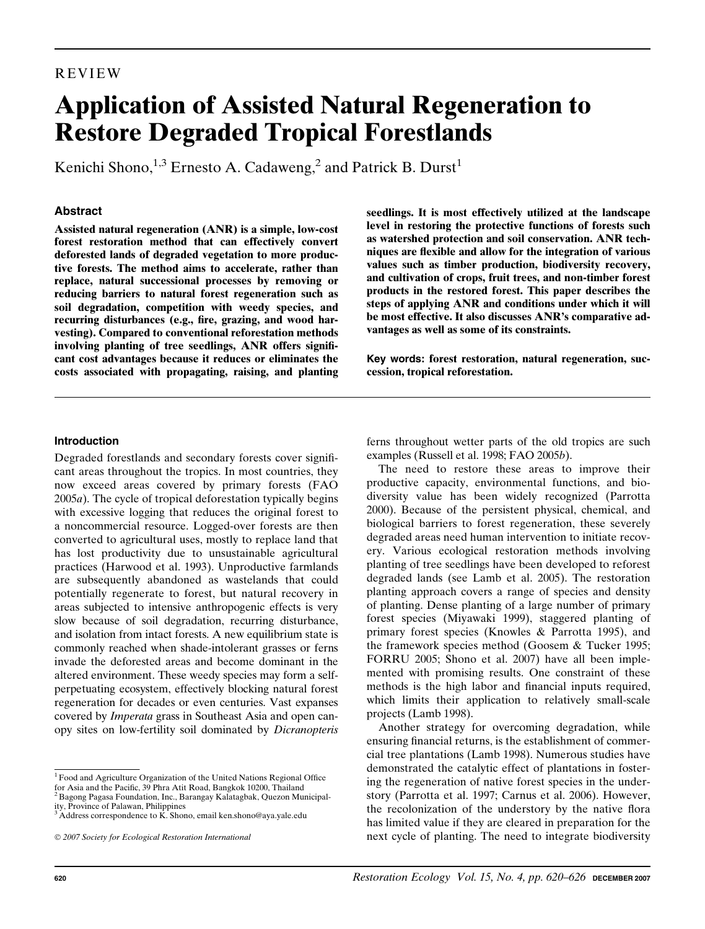## REVIEW

# Application of Assisted Natural Regeneration to Restore Degraded Tropical Forestlands

Kenichi Shono,<sup>1,3</sup> Ernesto A. Cadaweng,<sup>2</sup> and Patrick B. Durst<sup>1</sup>

#### Abstract

Assisted natural regeneration (ANR) is a simple, low-cost forest restoration method that can effectively convert deforested lands of degraded vegetation to more productive forests. The method aims to accelerate, rather than replace, natural successional processes by removing or reducing barriers to natural forest regeneration such as soil degradation, competition with weedy species, and recurring disturbances (e.g., fire, grazing, and wood harvesting). Compared to conventional reforestation methods involving planting of tree seedlings, ANR offers significant cost advantages because it reduces or eliminates the costs associated with propagating, raising, and planting seedlings. It is most effectively utilized at the landscape level in restoring the protective functions of forests such as watershed protection and soil conservation. ANR techniques are flexible and allow for the integration of various values such as timber production, biodiversity recovery, and cultivation of crops, fruit trees, and non-timber forest products in the restored forest. This paper describes the steps of applying ANR and conditions under which it will be most effective. It also discusses ANR's comparative advantages as well as some of its constraints.

Key words: forest restoration, natural regeneration, succession, tropical reforestation.

#### Introduction

Degraded forestlands and secondary forests cover significant areas throughout the tropics. In most countries, they now exceed areas covered by primary forests (FAO  $2005a$ ). The cycle of tropical deforestation typically begins with excessive logging that reduces the original forest to a noncommercial resource. Logged-over forests are then converted to agricultural uses, mostly to replace land that has lost productivity due to unsustainable agricultural practices (Harwood et al. 1993). Unproductive farmlands are subsequently abandoned as wastelands that could potentially regenerate to forest, but natural recovery in areas subjected to intensive anthropogenic effects is very slow because of soil degradation, recurring disturbance, and isolation from intact forests. A new equilibrium state is commonly reached when shade-intolerant grasses or ferns invade the deforested areas and become dominant in the altered environment. These weedy species may form a selfperpetuating ecosystem, effectively blocking natural forest regeneration for decades or even centuries. Vast expanses covered by Imperata grass in Southeast Asia and open canopy sites on low-fertility soil dominated by Dicranopteris

<sup>1</sup> Food and Agriculture Organization of the United Nations Regional Office for Asia and the Pacific, 39 Phra Atit Road, Bangkok 10200, Thailand  $^{2}$ Bagong Pagasa Foundation, Inc., Barangay Kalatagbak, Quezon Municipality, Province of Palawan, Philippines

 $3$  Address correspondence to  $\hat{K}$ . Shono, email ken.shono@aya.yale.edu

ferns throughout wetter parts of the old tropics are such examples (Russell et al. 1998; FAO 2005b).

The need to restore these areas to improve their productive capacity, environmental functions, and biodiversity value has been widely recognized (Parrotta 2000). Because of the persistent physical, chemical, and biological barriers to forest regeneration, these severely degraded areas need human intervention to initiate recovery. Various ecological restoration methods involving planting of tree seedlings have been developed to reforest degraded lands (see Lamb et al. 2005). The restoration planting approach covers a range of species and density of planting. Dense planting of a large number of primary forest species (Miyawaki 1999), staggered planting of primary forest species (Knowles & Parrotta 1995), and the framework species method (Goosem & Tucker 1995; FORRU 2005; Shono et al. 2007) have all been implemented with promising results. One constraint of these methods is the high labor and financial inputs required, which limits their application to relatively small-scale projects (Lamb 1998).

Another strategy for overcoming degradation, while ensuring financial returns, is the establishment of commercial tree plantations (Lamb 1998). Numerous studies have demonstrated the catalytic effect of plantations in fostering the regeneration of native forest species in the understory (Parrotta et al. 1997; Carnus et al. 2006). However, the recolonization of the understory by the native flora has limited value if they are cleared in preparation for the next cycle of planting. The need to integrate biodiversity

2007 Society for Ecological Restoration International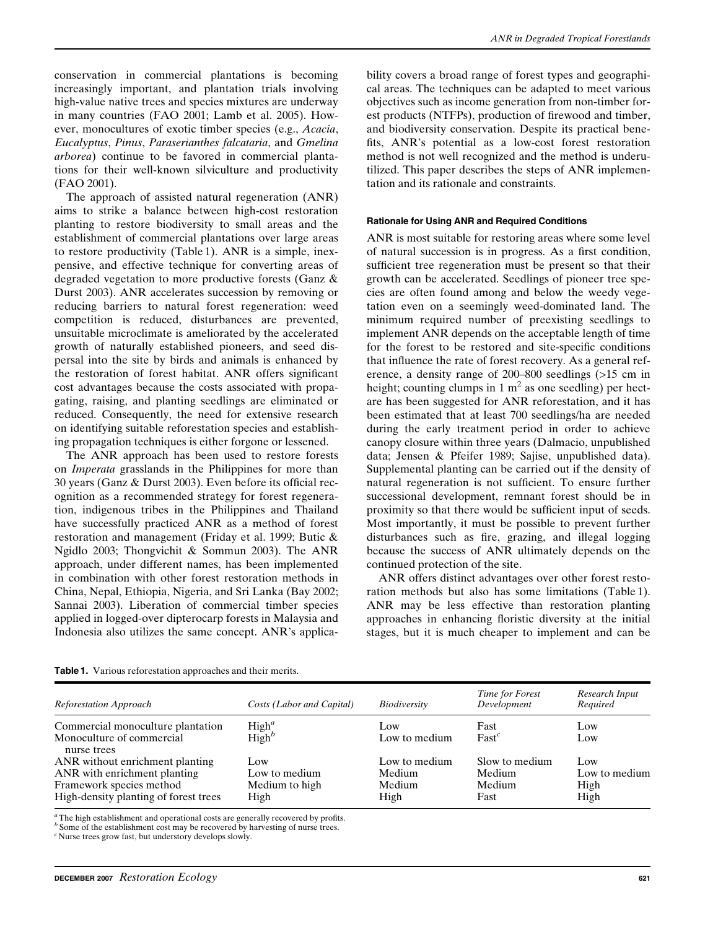conservation in commercial plantations is becoming increasingly important, and plantation trials involving high-value native trees and species mixtures are underway in many countries (FAO 2001; Lamb et al. 2005). However, monocultures of exotic timber species (e.g., Acacia, Eucalyptus, Pinus, Paraserianthes falcataria, and Gmelina arborea) continue to be favored in commercial plantations for their well-known silviculture and productivity (FAO 2001).

The approach of assisted natural regeneration (ANR) aims to strike a balance between high-cost restoration planting to restore biodiversity to small areas and the establishment of commercial plantations over large areas to restore productivity (Table 1). ANR is a simple, inexpensive, and effective technique for converting areas of degraded vegetation to more productive forests (Ganz & Durst 2003). ANR accelerates succession by removing or reducing barriers to natural forest regeneration: weed competition is reduced, disturbances are prevented, unsuitable microclimate is ameliorated by the accelerated growth of naturally established pioneers, and seed dispersal into the site by birds and animals is enhanced by the restoration of forest habitat. ANR offers significant cost advantages because the costs associated with propagating, raising, and planting seedlings are eliminated or reduced. Consequently, the need for extensive research on identifying suitable reforestation species and establishing propagation techniques is either forgone or lessened.

The ANR approach has been used to restore forests on Imperata grasslands in the Philippines for more than 30 years (Ganz & Durst 2003). Even before its official recognition as a recommended strategy for forest regeneration, indigenous tribes in the Philippines and Thailand have successfully practiced ANR as a method of forest restoration and management (Friday et al. 1999; Butic & Ngidlo 2003; Thongvichit & Sommun 2003). The ANR approach, under different names, has been implemented in combination with other forest restoration methods in China, Nepal, Ethiopia, Nigeria, and Sri Lanka (Bay 2002; Sannai 2003). Liberation of commercial timber species applied in logged-over dipterocarp forests in Malaysia and Indonesia also utilizes the same concept. ANR's applicability covers a broad range of forest types and geographical areas. The techniques can be adapted to meet various objectives such as income generation from non-timber forest products (NTFPs), production of firewood and timber, and biodiversity conservation. Despite its practical benefits, ANR's potential as a low-cost forest restoration method is not well recognized and the method is underutilized. This paper describes the steps of ANR implementation and its rationale and constraints.

#### Rationale for Using ANR and Required Conditions

ANR is most suitable for restoring areas where some level of natural succession is in progress. As a first condition, sufficient tree regeneration must be present so that their growth can be accelerated. Seedlings of pioneer tree species are often found among and below the weedy vegetation even on a seemingly weed-dominated land. The minimum required number of preexisting seedlings to implement ANR depends on the acceptable length of time for the forest to be restored and site-specific conditions that influence the rate of forest recovery. As a general reference, a density range of 200–800 seedlings (>15 cm in height; counting clumps in 1  $m<sup>2</sup>$  as one seedling) per hectare has been suggested for ANR reforestation, and it has been estimated that at least 700 seedlings/ha are needed during the early treatment period in order to achieve canopy closure within three years (Dalmacio, unpublished data; Jensen & Pfeifer 1989; Sajise, unpublished data). Supplemental planting can be carried out if the density of natural regeneration is not sufficient. To ensure further successional development, remnant forest should be in proximity so that there would be sufficient input of seeds. Most importantly, it must be possible to prevent further disturbances such as fire, grazing, and illegal logging because the success of ANR ultimately depends on the continued protection of the site.

ANR offers distinct advantages over other forest restoration methods but also has some limitations (Table 1). ANR may be less effective than restoration planting approaches in enhancing floristic diversity at the initial stages, but it is much cheaper to implement and can be

| Reforestation Approach                                                                                                               | Costs (Labor and Capital)                      | <i>Biodiversity</i>                       | Time for Forest<br>Development             | Research Input<br>Required                       |
|--------------------------------------------------------------------------------------------------------------------------------------|------------------------------------------------|-------------------------------------------|--------------------------------------------|--------------------------------------------------|
| Commercial monoculture plantation<br>Monoculture of commercial<br>nurse trees                                                        | High <sup>a</sup><br>High <sup>b</sup>         | L <sub>ow</sub><br>Low to medium          | Fast<br>$Fast^c$                           | L <sub>ow</sub><br>Low                           |
| ANR without enrichment planting<br>ANR with enrichment planting<br>Framework species method<br>High-density planting of forest trees | Low<br>Low to medium<br>Medium to high<br>High | Low to medium<br>Medium<br>Medium<br>High | Slow to medium<br>Medium<br>Medium<br>Fast | L <sub>ow</sub><br>Low to medium<br>High<br>High |

The high establishment and operational costs are generally recovered by profits.

b Some of the establishment cost may be recovered by harvesting of nurse trees.

 $^{\emph{c}}$  Nurse trees grow fast, but understory develops slowly.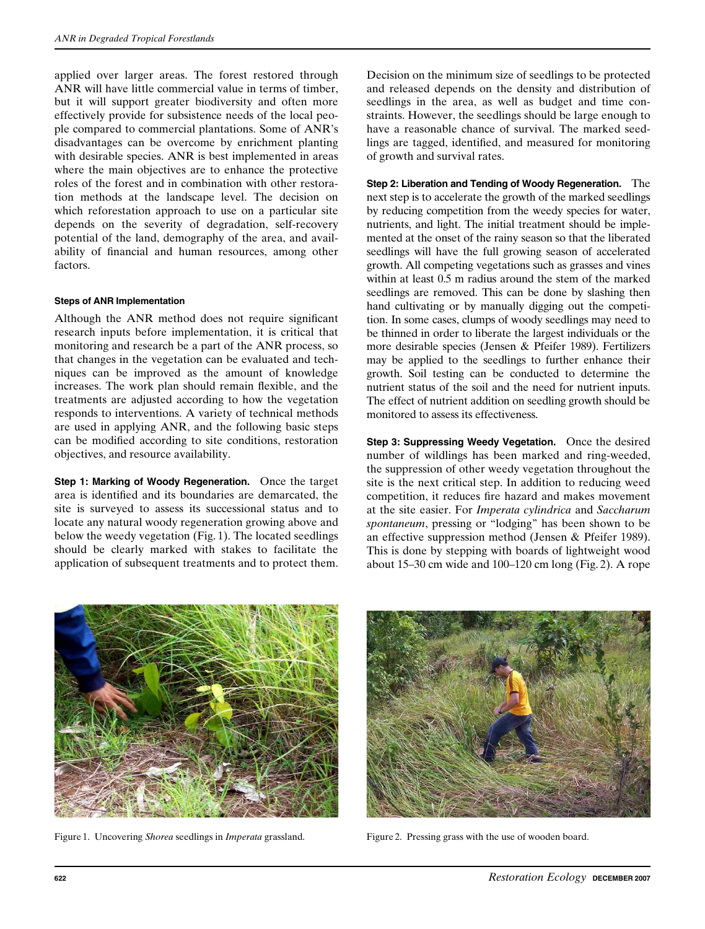applied over larger areas. The forest restored through ANR will have little commercial value in terms of timber, but it will support greater biodiversity and often more effectively provide for subsistence needs of the local people compared to commercial plantations. Some of ANR's disadvantages can be overcome by enrichment planting with desirable species. ANR is best implemented in areas where the main objectives are to enhance the protective roles of the forest and in combination with other restoration methods at the landscape level. The decision on which reforestation approach to use on a particular site depends on the severity of degradation, self-recovery potential of the land, demography of the area, and availability of financial and human resources, among other factors.

### Steps of ANR Implementation

Although the ANR method does not require significant research inputs before implementation, it is critical that monitoring and research be a part of the ANR process, so that changes in the vegetation can be evaluated and techniques can be improved as the amount of knowledge increases. The work plan should remain flexible, and the treatments are adjusted according to how the vegetation responds to interventions. A variety of technical methods are used in applying ANR, and the following basic steps can be modified according to site conditions, restoration objectives, and resource availability.

Step 1: Marking of Woody Regeneration. Once the target area is identified and its boundaries are demarcated, the site is surveyed to assess its successional status and to locate any natural woody regeneration growing above and below the weedy vegetation (Fig. 1). The located seedlings should be clearly marked with stakes to facilitate the application of subsequent treatments and to protect them. Decision on the minimum size of seedlings to be protected and released depends on the density and distribution of seedlings in the area, as well as budget and time constraints. However, the seedlings should be large enough to have a reasonable chance of survival. The marked seedlings are tagged, identified, and measured for monitoring of growth and survival rates.

Step 2: Liberation and Tending of Woody Regeneration. The next step is to accelerate the growth of the marked seedlings by reducing competition from the weedy species for water, nutrients, and light. The initial treatment should be implemented at the onset of the rainy season so that the liberated seedlings will have the full growing season of accelerated growth. All competing vegetations such as grasses and vines within at least 0.5 m radius around the stem of the marked seedlings are removed. This can be done by slashing then hand cultivating or by manually digging out the competition. In some cases, clumps of woody seedlings may need to be thinned in order to liberate the largest individuals or the more desirable species (Jensen & Pfeifer 1989). Fertilizers may be applied to the seedlings to further enhance their growth. Soil testing can be conducted to determine the nutrient status of the soil and the need for nutrient inputs. The effect of nutrient addition on seedling growth should be monitored to assess its effectiveness.

Step 3: Suppressing Weedy Vegetation. Once the desired number of wildlings has been marked and ring-weeded, the suppression of other weedy vegetation throughout the site is the next critical step. In addition to reducing weed competition, it reduces fire hazard and makes movement at the site easier. For Imperata cylindrica and Saccharum spontaneum, pressing or "lodging" has been shown to be an effective suppression method (Jensen & Pfeifer 1989). This is done by stepping with boards of lightweight wood about 15–30 cm wide and 100–120 cm long (Fig. 2). A rope



Figure 1. Uncovering Shorea seedlings in *Imperata* grassland. Figure 2. Pressing grass with the use of wooden board.

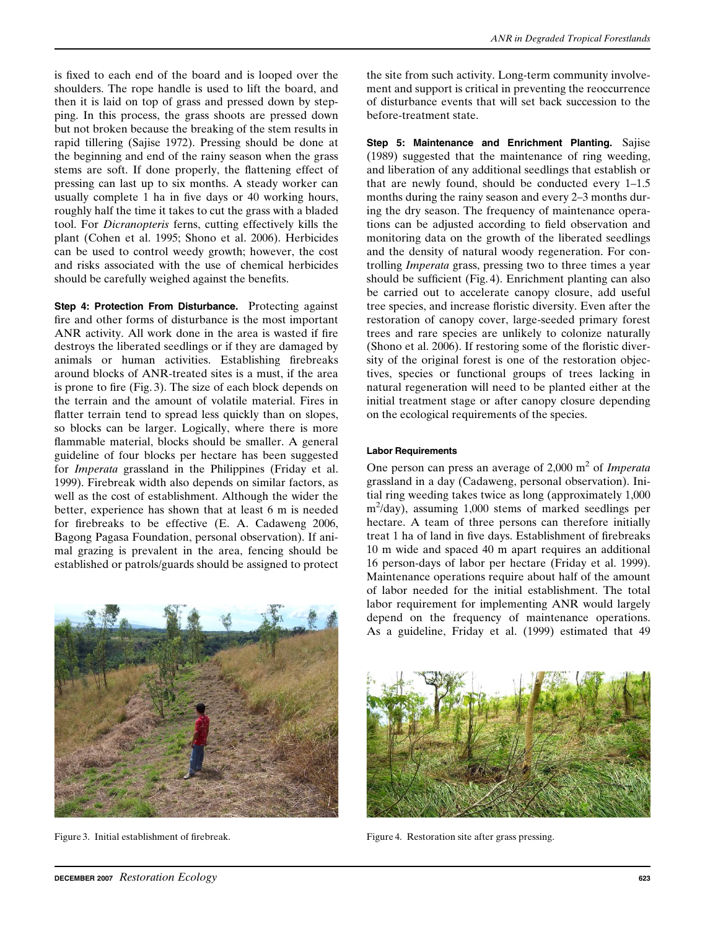is fixed to each end of the board and is looped over the shoulders. The rope handle is used to lift the board, and then it is laid on top of grass and pressed down by stepping. In this process, the grass shoots are pressed down but not broken because the breaking of the stem results in rapid tillering (Sajise 1972). Pressing should be done at the beginning and end of the rainy season when the grass stems are soft. If done properly, the flattening effect of pressing can last up to six months. A steady worker can usually complete 1 ha in five days or 40 working hours, roughly half the time it takes to cut the grass with a bladed tool. For Dicranopteris ferns, cutting effectively kills the plant (Cohen et al. 1995; Shono et al. 2006). Herbicides can be used to control weedy growth; however, the cost and risks associated with the use of chemical herbicides should be carefully weighed against the benefits.

Step 4: Protection From Disturbance. Protecting against fire and other forms of disturbance is the most important ANR activity. All work done in the area is wasted if fire destroys the liberated seedlings or if they are damaged by animals or human activities. Establishing firebreaks around blocks of ANR-treated sites is a must, if the area is prone to fire (Fig. 3). The size of each block depends on the terrain and the amount of volatile material. Fires in flatter terrain tend to spread less quickly than on slopes, so blocks can be larger. Logically, where there is more flammable material, blocks should be smaller. A general guideline of four blocks per hectare has been suggested for Imperata grassland in the Philippines (Friday et al. 1999). Firebreak width also depends on similar factors, as well as the cost of establishment. Although the wider the better, experience has shown that at least 6 m is needed for firebreaks to be effective (E. A. Cadaweng 2006, Bagong Pagasa Foundation, personal observation). If animal grazing is prevalent in the area, fencing should be established or patrols/guards should be assigned to protect



the site from such activity. Long-term community involvement and support is critical in preventing the reoccurrence of disturbance events that will set back succession to the before-treatment state.

Step 5: Maintenance and Enrichment Planting. Sajise (1989) suggested that the maintenance of ring weeding, and liberation of any additional seedlings that establish or that are newly found, should be conducted every 1–1.5 months during the rainy season and every 2–3 months during the dry season. The frequency of maintenance operations can be adjusted according to field observation and monitoring data on the growth of the liberated seedlings and the density of natural woody regeneration. For controlling Imperata grass, pressing two to three times a year should be sufficient (Fig. 4). Enrichment planting can also be carried out to accelerate canopy closure, add useful tree species, and increase floristic diversity. Even after the restoration of canopy cover, large-seeded primary forest trees and rare species are unlikely to colonize naturally (Shono et al. 2006). If restoring some of the floristic diversity of the original forest is one of the restoration objectives, species or functional groups of trees lacking in natural regeneration will need to be planted either at the initial treatment stage or after canopy closure depending on the ecological requirements of the species.

#### Labor Requirements

One person can press an average of  $2,000 \text{ m}^2$  of *Imperata* grassland in a day (Cadaweng, personal observation). Initial ring weeding takes twice as long (approximately 1,000 m2 /day), assuming 1,000 stems of marked seedlings per hectare. A team of three persons can therefore initially treat 1 ha of land in five days. Establishment of firebreaks 10 m wide and spaced 40 m apart requires an additional 16 person-days of labor per hectare (Friday et al. 1999). Maintenance operations require about half of the amount of labor needed for the initial establishment. The total labor requirement for implementing ANR would largely depend on the frequency of maintenance operations. As a guideline, Friday et al. (1999) estimated that 49





Figure 3. Initial establishment of firebreak. Figure 4. Restoration site after grass pressing.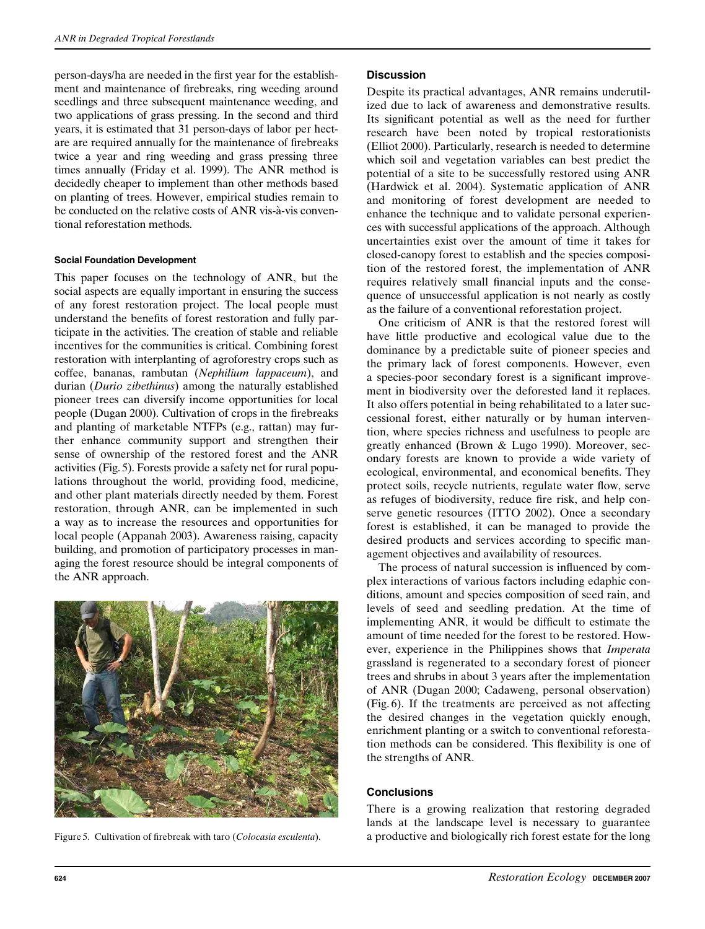person-days/ha are needed in the first year for the establishment and maintenance of firebreaks, ring weeding around seedlings and three subsequent maintenance weeding, and two applications of grass pressing. In the second and third years, it is estimated that 31 person-days of labor per hectare are required annually for the maintenance of firebreaks twice a year and ring weeding and grass pressing three times annually (Friday et al. 1999). The ANR method is decidedly cheaper to implement than other methods based on planting of trees. However, empirical studies remain to be conducted on the relative costs of ANR vis-à-vis conventional reforestation methods.

#### Social Foundation Development

This paper focuses on the technology of ANR, but the social aspects are equally important in ensuring the success of any forest restoration project. The local people must understand the benefits of forest restoration and fully participate in the activities. The creation of stable and reliable incentives for the communities is critical. Combining forest restoration with interplanting of agroforestry crops such as coffee, bananas, rambutan (Nephilium lappaceum), and durian (Durio zibethinus) among the naturally established pioneer trees can diversify income opportunities for local people (Dugan 2000). Cultivation of crops in the firebreaks and planting of marketable NTFPs (e.g., rattan) may further enhance community support and strengthen their sense of ownership of the restored forest and the ANR activities (Fig. 5). Forests provide a safety net for rural populations throughout the world, providing food, medicine, and other plant materials directly needed by them. Forest restoration, through ANR, can be implemented in such a way as to increase the resources and opportunities for local people (Appanah 2003). Awareness raising, capacity building, and promotion of participatory processes in managing the forest resource should be integral components of the ANR approach.



### **Discussion**

Despite its practical advantages, ANR remains underutilized due to lack of awareness and demonstrative results. Its significant potential as well as the need for further research have been noted by tropical restorationists (Elliot 2000). Particularly, research is needed to determine which soil and vegetation variables can best predict the potential of a site to be successfully restored using ANR (Hardwick et al. 2004). Systematic application of ANR and monitoring of forest development are needed to enhance the technique and to validate personal experiences with successful applications of the approach. Although uncertainties exist over the amount of time it takes for closed-canopy forest to establish and the species composition of the restored forest, the implementation of ANR requires relatively small financial inputs and the consequence of unsuccessful application is not nearly as costly as the failure of a conventional reforestation project.

One criticism of ANR is that the restored forest will have little productive and ecological value due to the dominance by a predictable suite of pioneer species and the primary lack of forest components. However, even a species-poor secondary forest is a significant improvement in biodiversity over the deforested land it replaces. It also offers potential in being rehabilitated to a later successional forest, either naturally or by human intervention, where species richness and usefulness to people are greatly enhanced (Brown & Lugo 1990). Moreover, secondary forests are known to provide a wide variety of ecological, environmental, and economical benefits. They protect soils, recycle nutrients, regulate water flow, serve as refuges of biodiversity, reduce fire risk, and help conserve genetic resources (ITTO 2002). Once a secondary forest is established, it can be managed to provide the desired products and services according to specific management objectives and availability of resources.

The process of natural succession is influenced by complex interactions of various factors including edaphic conditions, amount and species composition of seed rain, and levels of seed and seedling predation. At the time of implementing ANR, it would be difficult to estimate the amount of time needed for the forest to be restored. However, experience in the Philippines shows that Imperata grassland is regenerated to a secondary forest of pioneer trees and shrubs in about 3 years after the implementation of ANR (Dugan 2000; Cadaweng, personal observation) (Fig. 6). If the treatments are perceived as not affecting the desired changes in the vegetation quickly enough, enrichment planting or a switch to conventional reforestation methods can be considered. This flexibility is one of the strengths of ANR.

### **Conclusions**

There is a growing realization that restoring degraded lands at the landscape level is necessary to guarantee Figure 5. Cultivation of firebreak with taro (Colocasia esculenta). a productive and biologically rich forest estate for the long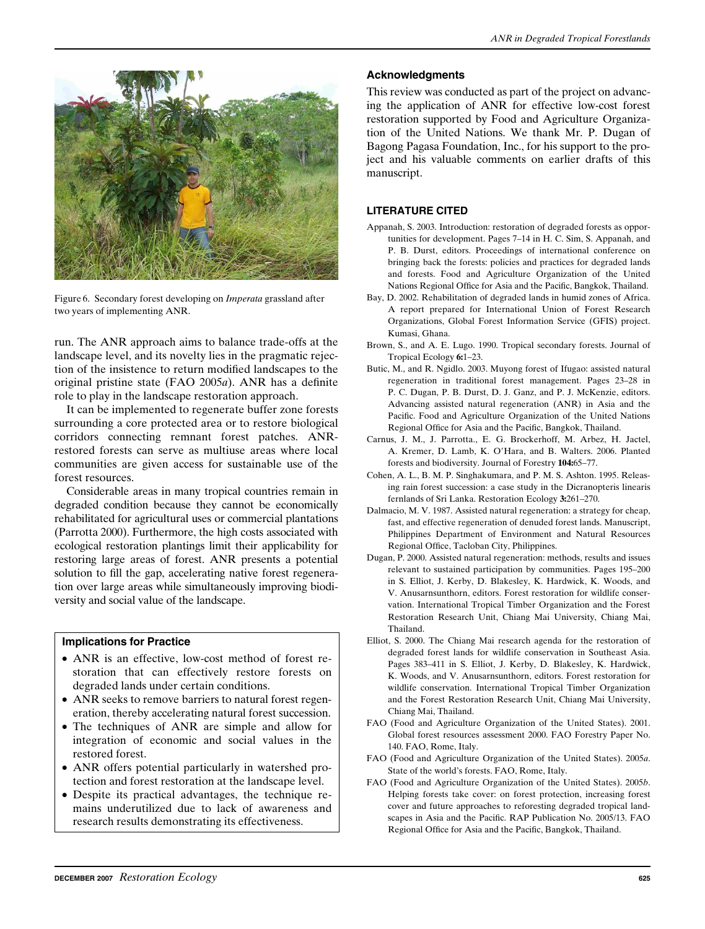

Figure 6. Secondary forest developing on Imperata grassland after two years of implementing ANR.

run. The ANR approach aims to balance trade-offs at the landscape level, and its novelty lies in the pragmatic rejection of the insistence to return modified landscapes to the original pristine state (FAO 2005a). ANR has a definite role to play in the landscape restoration approach.

It can be implemented to regenerate buffer zone forests surrounding a core protected area or to restore biological corridors connecting remnant forest patches. ANRrestored forests can serve as multiuse areas where local communities are given access for sustainable use of the forest resources.

Considerable areas in many tropical countries remain in degraded condition because they cannot be economically rehabilitated for agricultural uses or commercial plantations (Parrotta 2000). Furthermore, the high costs associated with ecological restoration plantings limit their applicability for restoring large areas of forest. ANR presents a potential solution to fill the gap, accelerating native forest regeneration over large areas while simultaneously improving biodiversity and social value of the landscape.

#### Implications for Practice

- ANR is an effective, low-cost method of forest restoration that can effectively restore forests on degraded lands under certain conditions.
- ANR seeks to remove barriers to natural forest regeneration, thereby accelerating natural forest succession.
- The techniques of ANR are simple and allow for integration of economic and social values in the restored forest.
- ANR offers potential particularly in watershed protection and forest restoration at the landscape level.
- Despite its practical advantages, the technique remains underutilized due to lack of awareness and research results demonstrating its effectiveness.

#### Acknowledgments

This review was conducted as part of the project on advancing the application of ANR for effective low-cost forest restoration supported by Food and Agriculture Organization of the United Nations. We thank Mr. P. Dugan of Bagong Pagasa Foundation, Inc., for his support to the project and his valuable comments on earlier drafts of this manuscript.

### LITERATURE CITED

- Appanah, S. 2003. Introduction: restoration of degraded forests as opportunities for development. Pages 7–14 in H. C. Sim, S. Appanah, and P. B. Durst, editors. Proceedings of international conference on bringing back the forests: policies and practices for degraded lands and forests. Food and Agriculture Organization of the United Nations Regional Office for Asia and the Pacific, Bangkok, Thailand.
- Bay, D. 2002. Rehabilitation of degraded lands in humid zones of Africa. A report prepared for International Union of Forest Research Organizations, Global Forest Information Service (GFIS) project. Kumasi, Ghana.
- Brown, S., and A. E. Lugo. 1990. Tropical secondary forests. Journal of Tropical Ecology 6:1–23.
- Butic, M., and R. Ngidlo. 2003. Muyong forest of Ifugao: assisted natural regeneration in traditional forest management. Pages 23–28 in P. C. Dugan, P. B. Durst, D. J. Ganz, and P. J. McKenzie, editors. Advancing assisted natural regeneration (ANR) in Asia and the Pacific. Food and Agriculture Organization of the United Nations Regional Office for Asia and the Pacific, Bangkok, Thailand.
- Carnus, J. M., J. Parrotta., E. G. Brockerhoff, M. Arbez, H. Jactel, A. Kremer, D. Lamb, K. O'Hara, and B. Walters. 2006. Planted forests and biodiversity. Journal of Forestry 104:65–77.
- Cohen, A. L., B. M. P. Singhakumara, and P. M. S. Ashton. 1995. Releasing rain forest succession: a case study in the Dicranopteris linearis fernlands of Sri Lanka. Restoration Ecology 3:261–270.
- Dalmacio, M. V. 1987. Assisted natural regeneration: a strategy for cheap, fast, and effective regeneration of denuded forest lands. Manuscript, Philippines Department of Environment and Natural Resources Regional Office, Tacloban City, Philippines.
- Dugan, P. 2000. Assisted natural regeneration: methods, results and issues relevant to sustained participation by communities. Pages 195–200 in S. Elliot, J. Kerby, D. Blakesley, K. Hardwick, K. Woods, and V. Anusarnsunthorn, editors. Forest restoration for wildlife conservation. International Tropical Timber Organization and the Forest Restoration Research Unit, Chiang Mai University, Chiang Mai, Thailand.
- Elliot, S. 2000. The Chiang Mai research agenda for the restoration of degraded forest lands for wildlife conservation in Southeast Asia. Pages 383–411 in S. Elliot, J. Kerby, D. Blakesley, K. Hardwick, K. Woods, and V. Anusarnsunthorn, editors. Forest restoration for wildlife conservation. International Tropical Timber Organization and the Forest Restoration Research Unit, Chiang Mai University, Chiang Mai, Thailand.
- FAO (Food and Agriculture Organization of the United States). 2001. Global forest resources assessment 2000. FAO Forestry Paper No. 140. FAO, Rome, Italy.
- FAO (Food and Agriculture Organization of the United States). 2005a. State of the world's forests. FAO, Rome, Italy.
- FAO (Food and Agriculture Organization of the United States). 2005b. Helping forests take cover: on forest protection, increasing forest cover and future approaches to reforesting degraded tropical landscapes in Asia and the Pacific. RAP Publication No. 2005/13. FAO Regional Office for Asia and the Pacific, Bangkok, Thailand.